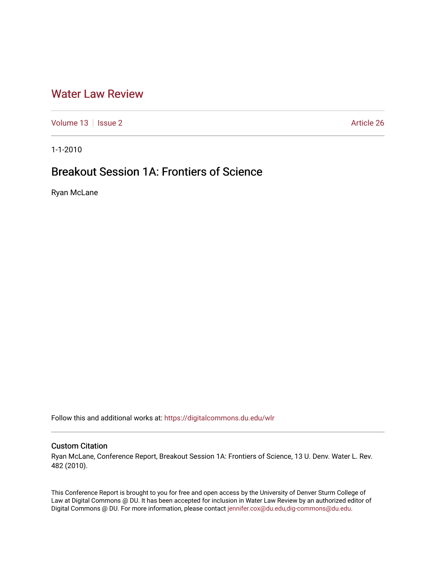## [Water Law Review](https://digitalcommons.du.edu/wlr)

[Volume 13](https://digitalcommons.du.edu/wlr/vol13) | [Issue 2](https://digitalcommons.du.edu/wlr/vol13/iss2) Article 26

1-1-2010

# Breakout Session 1A: Frontiers of Science

Ryan McLane

Follow this and additional works at: [https://digitalcommons.du.edu/wlr](https://digitalcommons.du.edu/wlr?utm_source=digitalcommons.du.edu%2Fwlr%2Fvol13%2Fiss2%2F26&utm_medium=PDF&utm_campaign=PDFCoverPages) 

## Custom Citation

Ryan McLane, Conference Report, Breakout Session 1A: Frontiers of Science, 13 U. Denv. Water L. Rev. 482 (2010).

This Conference Report is brought to you for free and open access by the University of Denver Sturm College of Law at Digital Commons @ DU. It has been accepted for inclusion in Water Law Review by an authorized editor of Digital Commons @ DU. For more information, please contact [jennifer.cox@du.edu,dig-commons@du.edu](mailto:jennifer.cox@du.edu,dig-commons@du.edu).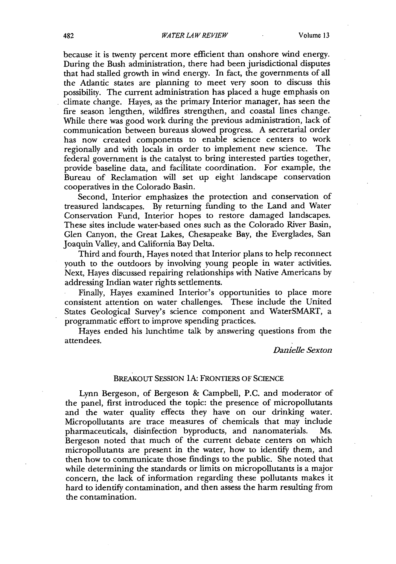because it is twenty percent more efficient than onshore wind energy. During the Bush administration, there had been jurisdictional disputes that had stalled growth in wind energy. In fact, the governments of all the Atlantic states are planning to meet very soon to discuss this possibility. The current administration has placed a huge emphasis on climate change. Hayes, as the primary Interior manager, has seen the fire season lengthen, wildfires strengthen, and coastal lines change. While there was good work during the previous administration, lack of communication between bureaus slowed progress. A secretarial order has now created components to enable science centers to work regionally and with locals in order to implement new science. The federal government is the catalyst to bring interested parties together, provide baseline data, and facilitate coordination. For example, the Bureau of Reclamation will set up eight landscape conservation cooperatives in the Colorado Basin.

Second, Interior emphasizes the protection and conservation of treasured landscapes. By returning funding to the Land and Water Conservation Fund, Interior hopes to restore damaged landscapes. These sites include water-based ones such as the Colorado River Basin, Glen Canyon, the Great Lakes, Chesapeake Bay, the Everglades, San Joaquin Valley, and California Bay Delta.

Third and fourth, Hayes noted that Interior plans to help reconnect youth to the outdoors by involving young people in water activities. Next, Hayes discussed repairing relationships with Native Americans by addressing Indian water rights settlements.

Finally, Hayes examined Interior's opportunities to place more consistent attention on water challenges. These include the United States Geological Survey's science component and WaterSMART, a programmatic effort to improve spending practices.

Hayes ended his lunchtime talk by answering questions from the attendees.

*Danielle Sexton*

#### BREAKOUT **SESSION IA: FRONTIERS** OF **SCIENCE**

Lynn Bergeson, of Bergeson & Campbell, P.C. and moderator of the panel, first introduced the topic: the presence of micropollutants and the water quality effects they have on our drinking water. Micropollutants are trace measures of chemicals that may include pharmaceuticals, disinfection byproducts, and nanomaterials. Bergeson noted that much of the current debate centers on which micropollutants are present in the water, how to identify them, and then how to communicate those findings to the public. She noted that while determining the standards or limits on micropollutants is a major concern, the lack of information regarding these pollutants makes it hard to identify contamination, and then assess the harm resulting from the contamination.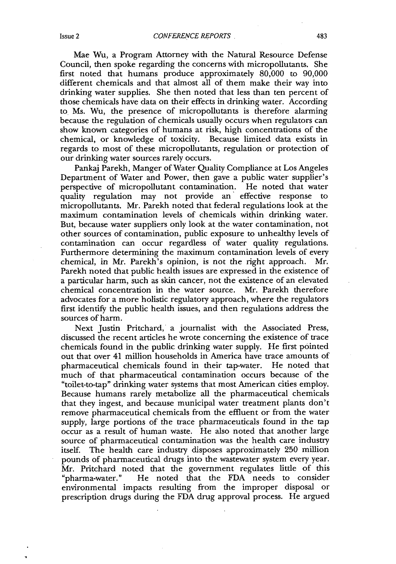Mae Wu, a Program Attorney with the Natural Resource Defense Council, then spoke regarding the concerns with micropollutants. She first noted that humans produce approximately 80,000 to 90,000 different chemicals and that almost all of them make their way into drinking water supplies. She then noted that less than ten percent of those chemicals have data on their effects in drinking water. According to Ms. Wu, the presence of micropollutants is therefore alarming because the regulation of chemicals usually occurs when regulators can show known categories of humans at risk, high concentrations of the chemical, or knowledge of toxicity. Because limited data exists in regards to most of these micropollutants, regulation or protection of our drinking water sources rarely occurs.

Pankaj Parekh, Manger of Water Quality Compliance at Los Angeles Department of Water and Power, then gave a public water supplier's perspective of micropollutant contamination. He noted that water quality regulation may not provide an effective response to micropollutants. Mr. Parekh noted that federal regulations look at the maximum contamination levels of chemicals within drinking water. But, because water suppliers only look at the water contamination, not other sources of contamination, public exposure to unhealthy levels of contamination can occur regardless of water quality regulations. Furthermore determining the maximum contamination levels of every chemical, in Mr. Parekh's opinion, is not the right approach. Mr. Parekh noted that public health issues are expressed in the existence of a particular harm, such as skin cancer, not the existence of an elevated chemical concentration in the water source. Mr. Parekh therefore advocates for a more holistic regulatory approach, where the regulators first identify the public health issues, and then regulations address the sources of harm.

Next Justin Pritchard, a journalist with the Associated Press, discussed the recent articles he wrote concerning the existence of trace chemicals found in the public drinking water supply. He first pointed out that over 41 million households in America have trace amounts of pharmaceutical chemicals found in their tap-water. He noted that much of that pharmaceutical contamination occurs because of the "toilet-to-tap" drinking water systems that most American cities employ. Because humans rarely metabolize all the pharmaceutical chemicals that they ingest, and because municipal water treatment plants don't remove pharmaceutical chemicals from the effluent or from the water supply, large portions of the trace pharmaceuticals found in the tap occur as a result of human waste. He also noted that another large source of pharmaceutical contamination was the health care industry itself. The health care industry disposes approximately 250 million pounds of pharmaceutical drugs into the wastewater system every year. Mr. Pritchard noted that the government regulates little of this "pharma-water." He noted that the FDA needs to consider environmental impacts resulting from the improper disposal or prescription drugs during the FDA drug approval process. He argued